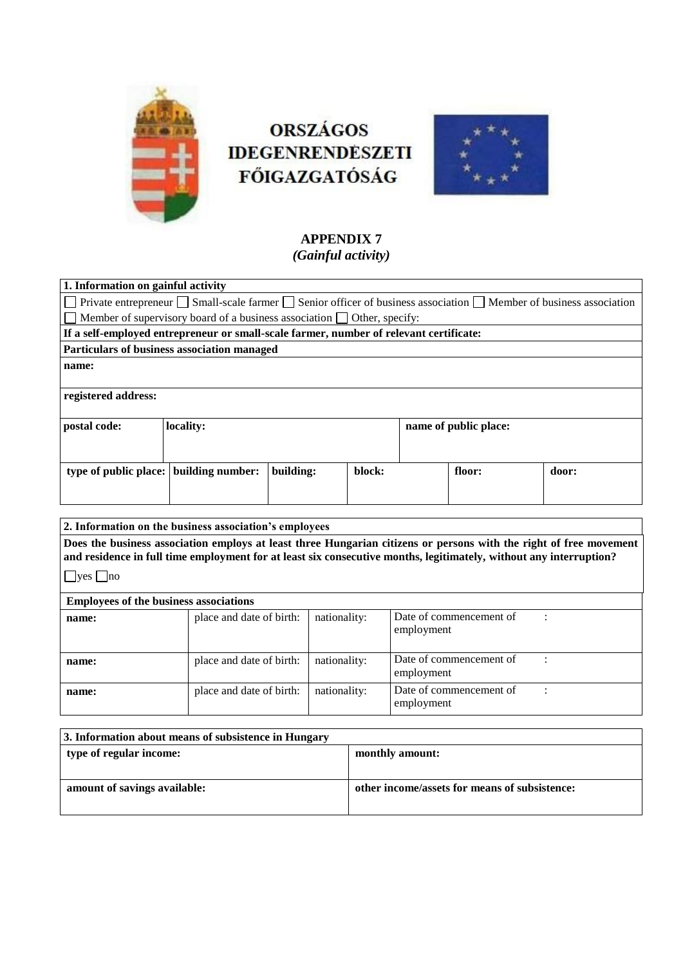

# **ORSZÁGOS IDEGENRENDESZETI FŐIGAZGATÓSÁG**



# **APPENDIX 7** *(Gainful activity)*

| 1. Information on gainful activity                                                                                                        |           |           |        |                       |        |       |  |
|-------------------------------------------------------------------------------------------------------------------------------------------|-----------|-----------|--------|-----------------------|--------|-------|--|
| $\Box$ Private entrepreneur $\Box$ Small-scale farmer $\Box$ Senior officer of business association $\Box$ Member of business association |           |           |        |                       |        |       |  |
| Member of supervisory board of a business association $\Box$ Other, specify:                                                              |           |           |        |                       |        |       |  |
| If a self-employed entrepreneur or small-scale farmer, number of relevant certificate:                                                    |           |           |        |                       |        |       |  |
| <b>Particulars of business association managed</b>                                                                                        |           |           |        |                       |        |       |  |
| name:                                                                                                                                     |           |           |        |                       |        |       |  |
|                                                                                                                                           |           |           |        |                       |        |       |  |
| registered address:                                                                                                                       |           |           |        |                       |        |       |  |
|                                                                                                                                           |           |           |        |                       |        |       |  |
| postal code:                                                                                                                              | locality: |           |        | name of public place: |        |       |  |
|                                                                                                                                           |           |           |        |                       |        |       |  |
|                                                                                                                                           |           |           |        |                       |        |       |  |
| type of public place: building number:                                                                                                    |           | building: | block: |                       | floor: | door: |  |
|                                                                                                                                           |           |           |        |                       |        |       |  |
|                                                                                                                                           |           |           |        |                       |        |       |  |

| 2. Information on the business association's employees                                                                                                                                                                                                     |                          |              |                                       |  |  |  |
|------------------------------------------------------------------------------------------------------------------------------------------------------------------------------------------------------------------------------------------------------------|--------------------------|--------------|---------------------------------------|--|--|--|
| Does the business association employs at least three Hungarian citizens or persons with the right of free movement<br>and residence in full time employment for at least six consecutive months, legitimately, without any interruption?<br>$ $ yes $ $ no |                          |              |                                       |  |  |  |
| <b>Employees of the business associations</b>                                                                                                                                                                                                              |                          |              |                                       |  |  |  |
| name:                                                                                                                                                                                                                                                      | place and date of birth: | nationality: | Date of commencement of<br>employment |  |  |  |
| name:                                                                                                                                                                                                                                                      | place and date of birth: | nationality: | Date of commencement of<br>employment |  |  |  |
| name:                                                                                                                                                                                                                                                      | place and date of birth: | nationality: | Date of commencement of<br>employment |  |  |  |

| 3. Information about means of subsistence in Hungary |                                               |  |  |  |
|------------------------------------------------------|-----------------------------------------------|--|--|--|
| type of regular income:                              | monthly amount:                               |  |  |  |
|                                                      |                                               |  |  |  |
| amount of savings available:                         | other income/assets for means of subsistence: |  |  |  |
|                                                      |                                               |  |  |  |